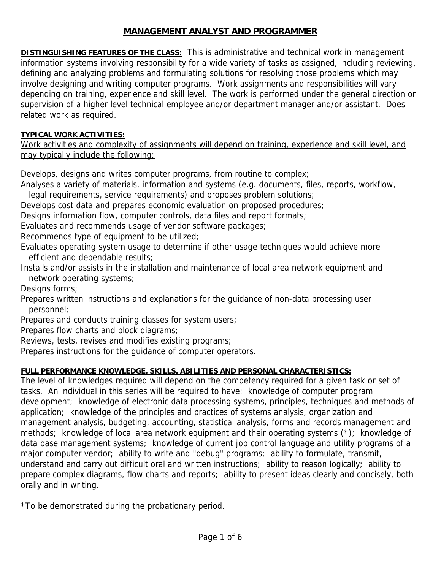# **MANAGEMENT ANALYST AND PROGRAMMER**

**DISTINGUISHING FEATURES OF THE CLASS:** This is administrative and technical work in management information systems involving responsibility for a wide variety of tasks as assigned, including reviewing, defining and analyzing problems and formulating solutions for resolving those problems which may involve designing and writing computer programs. Work assignments and responsibilities will vary depending on training, experience and skill level. The work is performed under the general direction or supervision of a higher level technical employee and/or department manager and/or assistant. Does related work as required.

## **TYPICAL WORK ACTIVITIES:**

Work activities and complexity of assignments will depend on training, experience and skill level, and may typically include the following:

Develops, designs and writes computer programs, from routine to complex;

Analyses a variety of materials, information and systems (e.g. documents, files, reports, workflow,

legal requirements, service requirements) and proposes problem solutions;

Develops cost data and prepares economic evaluation on proposed procedures;

Designs information flow, computer controls, data files and report formats;

Evaluates and recommends usage of vendor software packages;

Recommends type of equipment to be utilized;

Evaluates operating system usage to determine if other usage techniques would achieve more efficient and dependable results;

Installs and/or assists in the installation and maintenance of local area network equipment and network operating systems;

Designs forms;

Prepares written instructions and explanations for the guidance of non-data processing user personnel;

Prepares and conducts training classes for system users;

Prepares flow charts and block diagrams;

Reviews, tests, revises and modifies existing programs;

Prepares instructions for the guidance of computer operators.

## **FULL PERFORMANCE KNOWLEDGE, SKILLS, ABILITIES AND PERSONAL CHARACTERISTICS:**

The level of knowledges required will depend on the competency required for a given task or set of tasks. An individual in this series will be required to have: knowledge of computer program development; knowledge of electronic data processing systems, principles, techniques and methods of application; knowledge of the principles and practices of systems analysis, organization and management analysis, budgeting, accounting, statistical analysis, forms and records management and methods; knowledge of local area network equipment and their operating systems (\*); knowledge of data base management systems; knowledge of current job control language and utility programs of a major computer vendor; ability to write and "debug" programs; ability to formulate, transmit, understand and carry out difficult oral and written instructions; ability to reason logically; ability to prepare complex diagrams, flow charts and reports; ability to present ideas clearly and concisely, both orally and in writing.

\*To be demonstrated during the probationary period.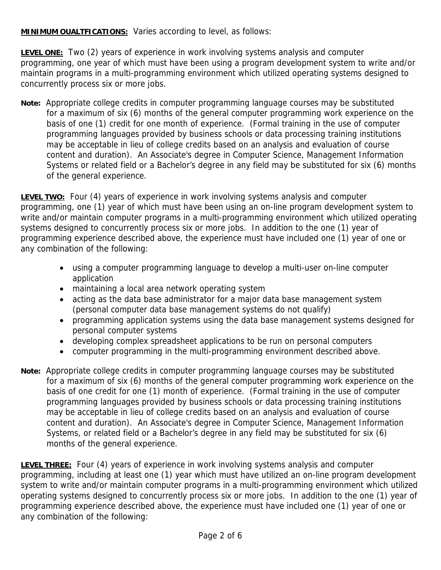**MINIMUM OUALTFICATIONS:** Varies according to level, as follows:

**LEVEL ONE:** Two (2) years of experience in work involving systems analysis and computer programming, one year of which must have been using a program development system to write and/or maintain programs in a multi-programming environment which utilized operating systems designed to concurrently process six or more jobs.

**Note:** Appropriate college credits in computer programming language courses may be substituted for a maximum of six (6) months of the general computer programming work experience on the basis of one (1) credit for one month of experience. (Formal training in the use of computer programming languages provided by business schools or data processing training institutions may be acceptable in lieu of college credits based on an analysis and evaluation of course content and duration). An Associate's degree in Computer Science, Management Information Systems or related field or a Bachelor's degree in any field may be substituted for six (6) months of the general experience.

**LEVEL TWO:** Four (4) years of experience in work involving systems analysis and computer programming, one (1) year of which must have been using an on-line program development system to write and/or maintain computer programs in a multi-programming environment which utilized operating systems designed to concurrently process six or more jobs. In addition to the one (1) year of programming experience described above, the experience must have included one (1) year of one or any combination of the following:

- using a computer programming language to develop a multi-user on-line computer application
- maintaining a local area network operating system
- acting as the data base administrator for a major data base management system (personal computer data base management systems do not qualify)
- programming application systems using the data base management systems designed for personal computer systems
- developing complex spreadsheet applications to be run on personal computers
- computer programming in the multi-programming environment described above.
- **Note:** Appropriate college credits in computer programming language courses may be substituted for a maximum of six (6) months of the general computer programming work experience on the basis of one credit for one (1) month of experience. (Formal training in the use of computer programming languages provided by business schools or data processing training institutions may be acceptable in lieu of college credits based on an analysis and evaluation of course content and duration). An Associate's degree in Computer Science, Management Information Systems, or related field or a Bachelor's degree in any field may be substituted for six (6) months of the general experience.

**LEVEL THREE:** Four (4) years of experience in work involving systems analysis and computer programming, including at least one (1) year which must have utilized an on-line program development system to write and/or maintain computer programs in a multi-programming environment which utilized operating systems designed to concurrently process six or more jobs. In addition to the one (1) year of programming experience described above, the experience must have included one (1) year of one or any combination of the following: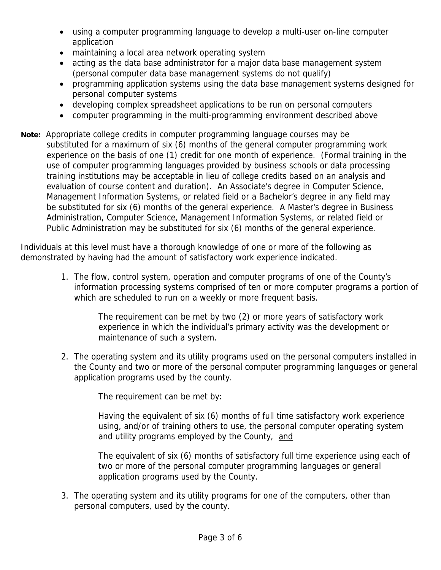- using a computer programming language to develop a multi-user on-line computer application
- maintaining a local area network operating system
- acting as the data base administrator for a major data base management system (personal computer data base management systems do not qualify)
- programming application systems using the data base management systems designed for personal computer systems
- developing complex spreadsheet applications to be run on personal computers
- computer programming in the multi-programming environment described above
- **Note:** Appropriate college credits in computer programming language courses may be substituted for a maximum of six (6) months of the general computer programming work experience on the basis of one (1) credit for one month of experience. (Formal training in the use of computer programming languages provided by business schools or data processing training institutions may be acceptable in lieu of college credits based on an analysis and evaluation of course content and duration). An Associate's degree in Computer Science, Management Information Systems, or related field or a Bachelor's degree in any field may be substituted for six (6) months of the general experience. A Master's degree in Business Administration, Computer Science, Management Information Systems, or related field or Public Administration may be substituted for six (6) months of the general experience.

Individuals at this level must have a thorough knowledge of one or more of the following as demonstrated by having had the amount of satisfactory work experience indicated.

> 1. The flow, control system, operation and computer programs of one of the County's information processing systems comprised of ten or more computer programs a portion of which are scheduled to run on a weekly or more frequent basis.

> > The requirement can be met by two (2) or more years of satisfactory work experience in which the individual's primary activity was the development or maintenance of such a system.

2. The operating system and its utility programs used on the personal computers installed in the County and two or more of the personal computer programming languages or general application programs used by the county.

The requirement can be met by:

Having the equivalent of six (6) months of full time satisfactory work experience using, and/or of training others to use, the personal computer operating system and utility programs employed by the County, and

The equivalent of six (6) months of satisfactory full time experience using each of two or more of the personal computer programming languages or general application programs used by the County.

3. The operating system and its utility programs for one of the computers, other than personal computers, used by the county.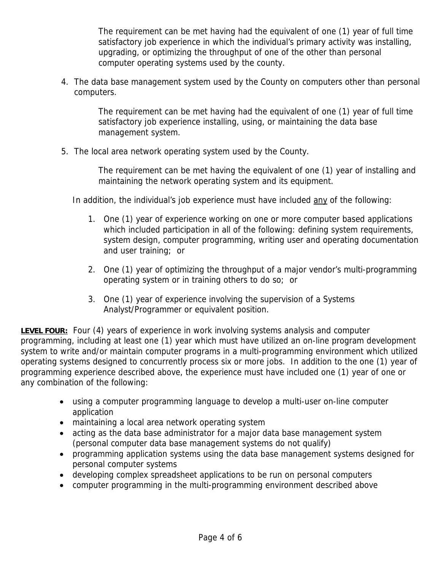The requirement can be met having had the equivalent of one (1) year of full time satisfactory job experience in which the individual's primary activity was installing, upgrading, or optimizing the throughput of one of the other than personal computer operating systems used by the county.

4. The data base management system used by the County on computers other than personal computers.

> The requirement can be met having had the equivalent of one (1) year of full time satisfactory job experience installing, using, or maintaining the data base management system.

5. The local area network operating system used by the County.

The requirement can be met having the equivalent of one (1) year of installing and maintaining the network operating system and its equipment.

In addition, the individual's job experience must have included any of the following:

- 1. One (1) year of experience working on one or more computer based applications which included participation in all of the following: defining system requirements, system design, computer programming, writing user and operating documentation and user training; or
- 2. One (1) year of optimizing the throughput of a major vendor's multi-programming operating system or in training others to do so; or
- 3. One (1) year of experience involving the supervision of a Systems Analyst/Programmer or equivalent position.

**LEVEL FOUR:** Four (4) years of experience in work involving systems analysis and computer programming, including at least one (1) year which must have utilized an on-line program development system to write and/or maintain computer programs in a multi-programming environment which utilized operating systems designed to concurrently process six or more jobs. In addition to the one (1) year of programming experience described above, the experience must have included one (1) year of one or any combination of the following:

- using a computer programming language to develop a multi-user on-line computer application
- maintaining a local area network operating system
- acting as the data base administrator for a major data base management system (personal computer data base management systems do not qualify)
- programming application systems using the data base management systems designed for personal computer systems
- developing complex spreadsheet applications to be run on personal computers
- computer programming in the multi-programming environment described above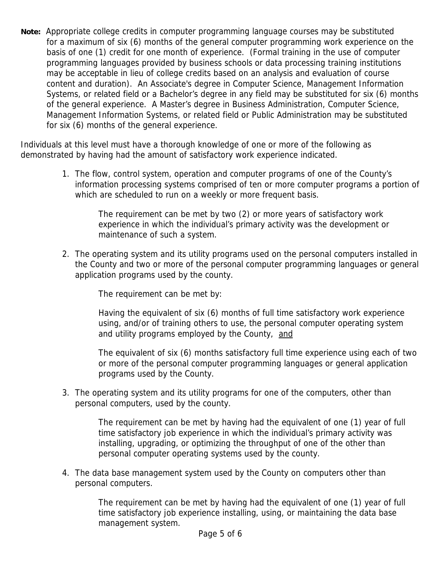**Note:** Appropriate college credits in computer programming language courses may be substituted for a maximum of six (6) months of the general computer programming work experience on the basis of one (1) credit for one month of experience. (Formal training in the use of computer programming languages provided by business schools or data processing training institutions may be acceptable in lieu of college credits based on an analysis and evaluation of course content and duration). An Associate's degree in Computer Science, Management Information Systems, or related field or a Bachelor's degree in any field may be substituted for six (6) months of the general experience. A Master's degree in Business Administration, Computer Science, Management Information Systems, or related field or Public Administration may be substituted for six (6) months of the general experience.

Individuals at this level must have a thorough knowledge of one or more of the following as demonstrated by having had the amount of satisfactory work experience indicated.

> 1. The flow, control system, operation and computer programs of one of the County's information processing systems comprised of ten or more computer programs a portion of which are scheduled to run on a weekly or more frequent basis.

> > The requirement can be met by two (2) or more years of satisfactory work experience in which the individual's primary activity was the development or maintenance of such a system.

2. The operating system and its utility programs used on the personal computers installed in the County and two or more of the personal computer programming languages or general application programs used by the county.

The requirement can be met by:

Having the equivalent of six (6) months of full time satisfactory work experience using, and/or of training others to use, the personal computer operating system and utility programs employed by the County, and

The equivalent of six (6) months satisfactory full time experience using each of two or more of the personal computer programming languages or general application programs used by the County.

3. The operating system and its utility programs for one of the computers, other than personal computers, used by the county.

> The requirement can be met by having had the equivalent of one (1) year of full time satisfactory job experience in which the individual's primary activity was installing, upgrading, or optimizing the throughput of one of the other than personal computer operating systems used by the county.

4. The data base management system used by the County on computers other than personal computers.

> The requirement can be met by having had the equivalent of one (1) year of full time satisfactory job experience installing, using, or maintaining the data base management system.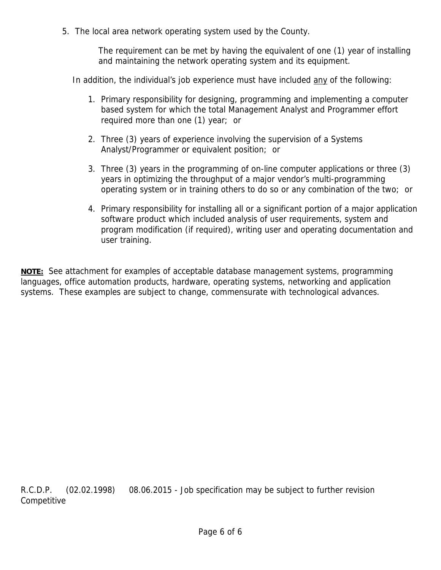5. The local area network operating system used by the County.

The requirement can be met by having the equivalent of one (1) year of installing and maintaining the network operating system and its equipment.

In addition, the individual's job experience must have included any of the following:

- 1. Primary responsibility for designing, programming and implementing a computer based system for which the total Management Analyst and Programmer effort required more than one (1) year; or
- 2. Three (3) years of experience involving the supervision of a Systems Analyst/Programmer or equivalent position; or
- 3. Three (3) years in the programming of on-line computer applications or three (3) years in optimizing the throughput of a major vendor's multi-programming operating system or in training others to do so or any combination of the two; or
- 4. Primary responsibility for installing all or a significant portion of a major application software product which included analysis of user requirements, system and program modification (if required), writing user and operating documentation and user training.

**NOTE:** See attachment for examples of acceptable database management systems, programming languages, office automation products, hardware, operating systems, networking and application systems. These examples are subject to change, commensurate with technological advances.

R.C.D.P. (02.02.1998) 08.06.2015 - Job specification may be subject to further revision Competitive